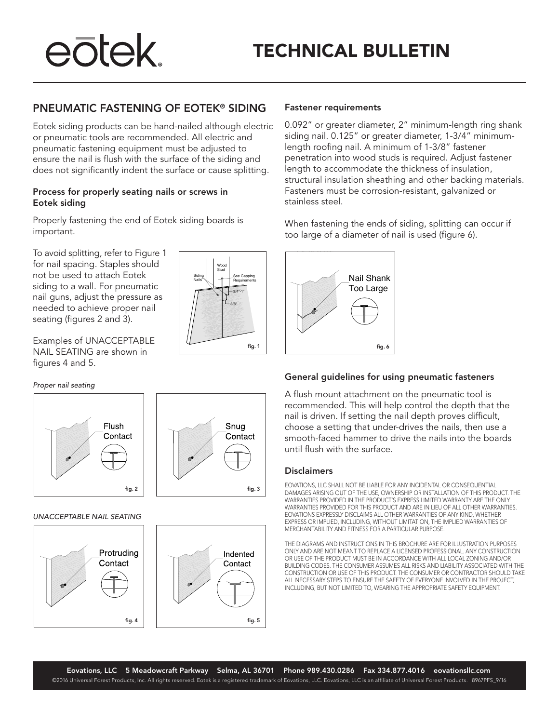# eōtek.

# PNEUMATIC FASTENING OF EOTEK® SIDING

Eotek siding products can be hand-nailed although electric or pneumatic tools are recommended. All electric and pneumatic fastening equipment must be adjusted to ensure the nail is flush with the surface of the siding and does not significantly indent the surface or cause splitting.

### Process for properly seating nails or screws in Eotek siding

Properly fastening the end of Eotek siding boards is important.

To avoid splitting, refer to Figure 1 for nail spacing. Staples should not be used to attach Eotek siding to a wall. For pneumatic nail guns, adjust the pressure as needed to achieve proper nail seating (figures 2 and 3).



Examples of UNACCEPTABLE NAIL SEATING are shown in figures 4 and 5.

### *Proper nail seating*



### *UNACCEPTABLE NAIL SEATING*



### Fastener requirements

0.092" or greater diameter, 2" minimum-length ring shank siding nail. 0.125" or greater diameter, 1-3/4" minimumlength roofing nail. A minimum of 1-3/8" fastener penetration into wood studs is required. Adjust fastener length to accommodate the thickness of insulation, structural insulation sheathing and other backing materials. Fasteners must be corrosion-resistant, galvanized or stainless steel.

When fastening the ends of siding, splitting can occur if too large of a diameter of nail is used (figure 6).



## General guidelines for using pneumatic fasteners

A flush mount attachment on the pneumatic tool is recommended. This will help control the depth that the nail is driven. If setting the nail depth proves difficult, choose a setting that under-drives the nails, then use a smooth-faced hammer to drive the nails into the boards until flush with the surface.

### **Disclaimers**

EOVATIONS, LLC SHALL NOT BE LIABLE FOR ANY INCIDENTAL OR CONSEQUENTIAL DAMAGES ARISING OUT OF THE USE, OWNERSHIP OR INSTALLATION OF THIS PRODUCT. THE WARRANTIES PROVIDED IN THE PRODUCT'S EXPRESS LIMITED WARRANTY ARE THE ONLY WARRANTIES PROVIDED FOR THIS PRODUCT AND ARE IN LIEU OF ALL OTHER WARRANTIES. EOVATIONS EXPRESSLY DISCLAIMS ALL OTHER WARRANTIES OF ANY KIND, WHETHER EXPRESS OR IMPLIED, INCLUDING, WITHOUT LIMITATION, THE IMPLIED WARRANTIES OF MERCHANTABILITY AND FITNESS FOR A PARTICULAR PURPOSE.

THE DIAGRAMS AND INSTRUCTIONS IN THIS BROCHURE ARE FOR ILLUSTRATION PURPOSES ONLY AND ARE NOT MEANT TO REPLACE A LICENSED PROFESSIONAL. ANY CONSTRUCTION OR USE OF THE PRODUCT MUST BE IN ACCORDANCE WITH ALL LOCAL ZONING AND/OR BUILDING CODES. THE CONSUMER ASSUMES ALL RISKS AND LIABILITY ASSOCIATED WITH THE CONSTRUCTION OR USE OF THIS PRODUCT. THE CONSUMER OR CONTRACTOR SHOULD TAKE ALL NECESSARY STEPS TO ENSURE THE SAFETY OF EVERYONE INVOLVED IN THE PROJECT, INCLUDING, BUT NOT LIMITED TO, WEARING THE APPROPRIATE SAFETY EQUIPMENT.